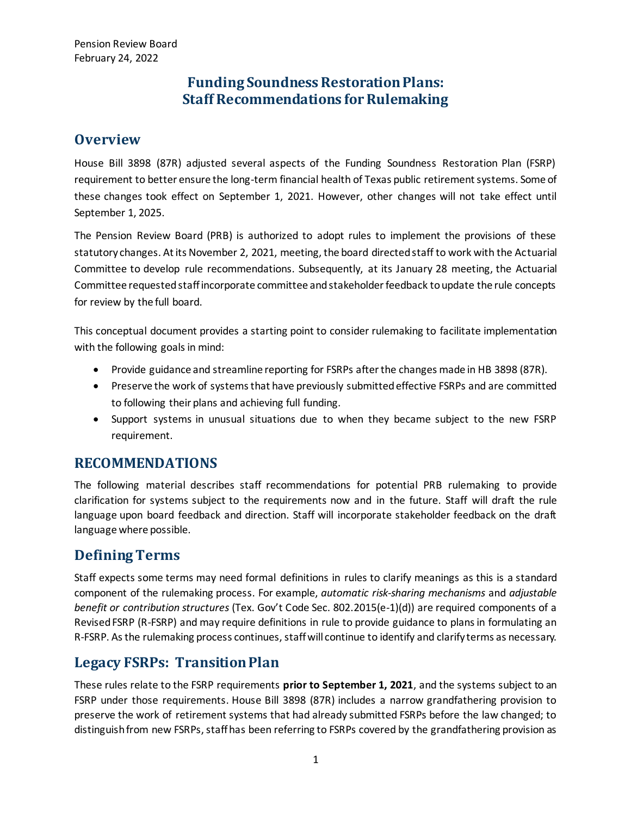# **Funding Soundness Restoration Plans: Staff Recommendations for Rulemaking**

# **Overview**

House Bill 3898 (87R) adjusted several aspects of the Funding Soundness Restoration Plan (FSRP) requirement to better ensure the long-term financial health of Texas public retirement systems. Some of these changes took effect on September 1, 2021. However, other changes will not take effect until September 1, 2025.

The Pension Review Board (PRB) is authorized to adopt rules to implement the provisions of these statutory changes. At its November 2, 2021, meeting, the board directed staff to work with the Actuarial Committee to develop rule recommendations. Subsequently, at its January 28 meeting, the Actuarial Committee requested staff incorporate committee and stakeholder feedback to update the rule concepts for review by the full board.

This conceptual document provides a starting point to consider rulemaking to facilitate implementation with the following goals in mind:

- Provide guidance and streamline reporting for FSRPs after the changes made in HB 3898 (87R).
- Preserve the work of systems that have previously submitted effective FSRPs and are committed to following their plans and achieving full funding.
- Support systems in unusual situations due to when they became subject to the new FSRP requirement.

# **RECOMMENDATIONS**

The following material describes staff recommendations for potential PRB rulemaking to provide clarification for systems subject to the requirements now and in the future. Staff will draft the rule language upon board feedback and direction. Staff will incorporate stakeholder feedback on the draft language where possible.

# **Defining Terms**

Staff expects some terms may need formal definitions in rules to clarify meanings as this is a standard component of the rulemaking process. For example, *automatic risk-sharing mechanisms* and *adjustable benefit or contribution structures* (Tex. Gov't Code Sec. 802.2015(e-1)(d)) are required components of a Revised FSRP (R-FSRP) and may require definitions in rule to provide guidance to plans in formulating an R-FSRP. As the rulemaking process continues, staff will continue to identify and clarify terms as necessary.

# **Legacy FSRPs: Transition Plan**

These rules relate to the FSRP requirements **prior to September 1, 2021**, and the systems subject to an FSRP under those requirements. House Bill 3898 (87R) includes a narrow grandfathering provision to preserve the work of retirement systems that had already submitted FSRPs before the law changed; to distinguish from new FSRPs, staff has been referring to FSRPs covered by the grandfathering provision as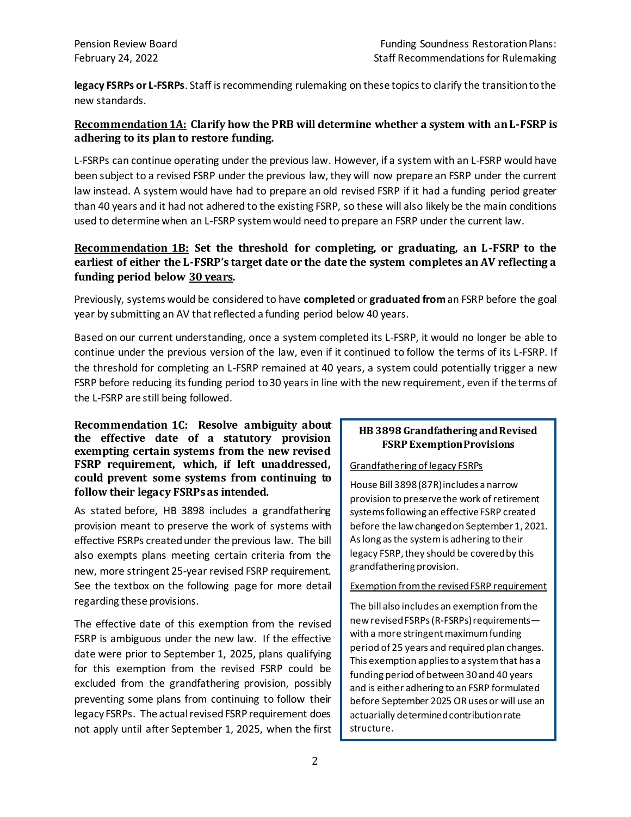**legacy FSRPs or L-FSRPs**. Staff is recommending rulemaking on these topics to clarify the transition to the new standards.

## **Recommendation1A: Clarify how the PRB will determine whether a system with an L-FSRP is adhering to its plan to restore funding.**

L-FSRPs can continue operating under the previous law. However, if a system with an L-FSRP would have been subject to a revised FSRP under the previous law, they will now prepare an FSRP under the current law instead. A system would have had to prepare an old revised FSRP if it had a funding period greater than 40 years and it had not adhered to the existing FSRP, so these will also likely be the main conditions used to determine when an L-FSRP system would need to prepare an FSRP under the current law.

## **Recommendation 1B: Set the threshold for completing, or graduating, an L-FSRP to the earliest of either the L-FSRP's target date or the date the system completes an AV reflecting a funding period below 30 years.**

Previously, systems would be considered to have **completed** or **graduated from** an FSRP before the goal year by submitting an AV that reflected a funding period below 40 years.

Based on our current understanding, once a system completed its L-FSRP, it would no longer be able to continue under the previous version of the law, even if it continued to follow the terms of its L-FSRP. If the threshold for completing an L-FSRP remained at 40 years, a system could potentially trigger a new FSRP before reducing its funding period to 30 years in line with the new requirement, even if the terms of the L-FSRP are still being followed.

#### **Recommendation 1C: Resolve ambiguity about the effective date of a statutory provision exempting certain systems from the new revised FSRP requirement, which, if left unaddressed, could prevent some systems from continuing to follow their legacy FSRPs as intended.**

As stated before, HB 3898 includes a grandfathering provision meant to preserve the work of systems with effective FSRPs created under the previous law. The bill also exempts plans meeting certain criteria from the new, more stringent 25-year revised FSRP requirement. See the textbox on the following page for more detail regarding these provisions.

The effective date of this exemption from the revised FSRP is ambiguous under the new law. If the effective date were prior to September 1, 2025, plans qualifying for this exemption from the revised FSRP could be excluded from the grandfathering provision, possibly preventing some plans from continuing to follow their legacy FSRPs. The actual revised FSRP requirement does not apply until after September 1, 2025, when the first

### **HB 3898 Grandfathering and Revised FSRP Exemption Provisions**

#### Grandfathering of legacy FSRPs

House Bill 3898 (87R) includes a narrow provision to preserve the work of retirement systems following an effective FSRP created before the law changed on September 1, 2021. As long asthe system is adhering to their legacy FSRP, they should be covered by this grandfathering provision.

#### Exemption from the revised FSRP requirement

The bill also includes an exemption from the newrevised FSRPs (R-FSRPs) requirements with a more stringent maximum funding period of 25 years and required plan changes. This exemption applies to a system that has a funding period of between 30 and 40 years and is either adhering to an FSRP formulated before September 2025 OR uses or will use an actuarially determinedcontribution rate structure.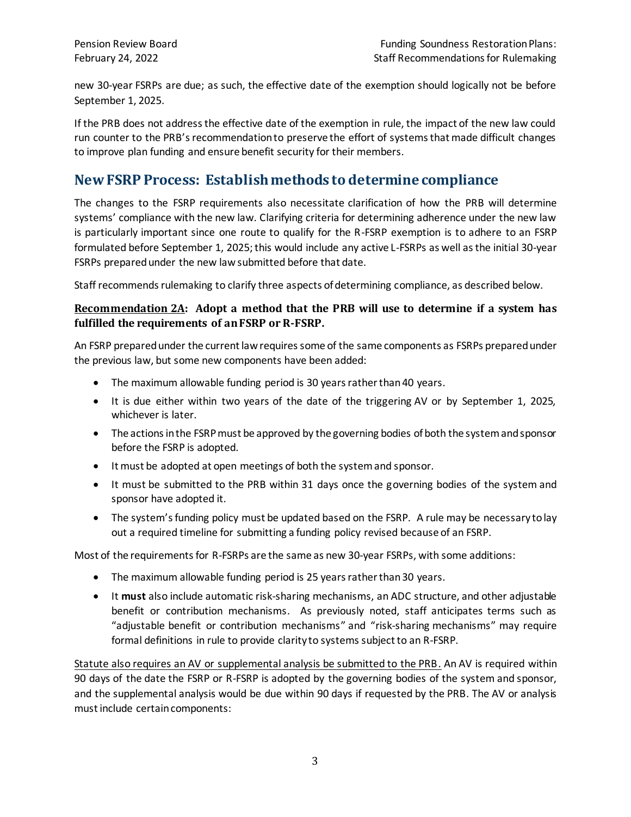new 30-year FSRPs are due; as such, the effective date of the exemption should logically not be before September 1, 2025.

If the PRB does not address the effective date of the exemption in rule, the impact of the new law could run counter to the PRB's recommendation to preserve the effort of systems that made difficult changes to improve plan funding and ensure benefit security for their members.

# **New FSRP Process: Establish methods to determine compliance**

The changes to the FSRP requirements also necessitate clarification of how the PRB will determine systems' compliance with the new law. Clarifying criteria for determining adherence under the new law is particularly important since one route to qualify for the R-FSRP exemption is to adhere to an FSRP formulated before September 1, 2025; this would include any active L-FSRPs as well as the initial 30-year FSRPs prepared under the new law submitted before that date.

Staff recommends rulemaking to clarify three aspects of determining compliance, as described below.

## **Recommendation 2A: Adopt a method that the PRB will use to determine if a system has fulfilled the requirements of an FSRP or R-FSRP.**

An FSRP prepared under the current law requires some of the same components as FSRPs prepared under the previous law, but some new components have been added:

- The maximum allowable funding period is 30 years rather than 40 years.
- It is due either within two years of the date of the triggering AV or by September 1, 2025, whichever is later.
- The actions in the FSRP must be approved by the governing bodies of both the system and sponsor before the FSRP is adopted.
- It must be adopted at open meetings of both the system and sponsor.
- It must be submitted to the PRB within 31 days once the governing bodies of the system and sponsor have adopted it.
- The system's funding policy must be updated based on the FSRP. A rule may be necessary to lay out a required timeline for submitting a funding policy revised because of an FSRP.

Most of the requirementsfor R-FSRPs are the same as new 30-year FSRPs, with some additions:

- The maximum allowable funding period is 25 years rather than 30 years.
- It **must** also include automatic risk-sharing mechanisms, an ADC structure, and other adjustable benefit or contribution mechanisms. As previously noted, staff anticipates terms such as "adjustable benefit or contribution mechanisms" and "risk-sharing mechanisms" may require formal definitions in rule to provide clarity to systems subject to an R-FSRP.

Statute also requires an AV or supplemental analysis be submitted to the PRB. An AV is required within 90 days of the date the FSRP or R-FSRP is adopted by the governing bodies of the system and sponsor, and the supplemental analysis would be due within 90 days if requested by the PRB. The AV or analysis must include certain components: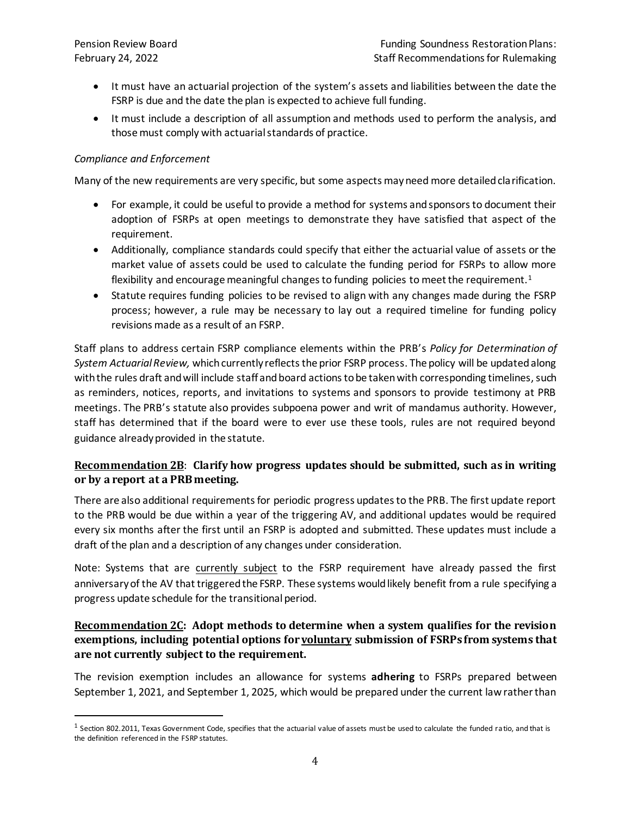- It must have an actuarial projection of the system's assets and liabilities between the date the FSRP is due and the date the plan is expected to achieve full funding.
- It must include a description of all assumption and methods used to perform the analysis, and those must comply with actuarial standards of practice.

#### *Compliance and Enforcement*

Many of the new requirements are very specific, but some aspects may need more detailed clarification.

- For example, it could be useful to provide a method for systems and sponsors to document their adoption of FSRPs at open meetings to demonstrate they have satisfied that aspect of the requirement.
- Additionally, compliance standards could specify that either the actuarial value of assets or the market value of assets could be used to calculate the funding period for FSRPs to allow more flexibility and encourage meaningful changes to funding policies to meet the requirement.<sup>1</sup>
- Statute requires funding policies to be revised to align with any changes made during the FSRP process; however, a rule may be necessary to lay out a required timeline for funding policy revisions made as a result of an FSRP.

Staff plans to address certain FSRP compliance elements within the PRB's *Policy for Determination of System Actuarial Review,* which currently reflects the prior FSRP process. The policy will be updated along with the rules draft and will include staff and board actions to be taken with corresponding timelines, such as reminders, notices, reports, and invitations to systems and sponsors to provide testimony at PRB meetings. The PRB's statute also provides subpoena power and writ of mandamus authority. However, staff has determined that if the board were to ever use these tools, rules are not required beyond guidance already provided in the statute.

## **Recommendation 2B**: **Clarify how progress updates should be submitted, such as in writing or by a report at a PRB meeting.**

There are also additional requirements for periodic progress updates to the PRB. The first update report to the PRB would be due within a year of the triggering AV, and additional updates would be required every six months after the first until an FSRP is adopted and submitted. These updates must include a draft of the plan and a description of any changes under consideration.

Note: Systems that are currently subject to the FSRP requirement have already passed the first anniversary of the AV that triggered the FSRP. These systems would likely benefit from a rule specifying a progress update schedule for the transitional period.

### **Recommendation 2C: Adopt methods to determine when a system qualifies for the revision exemptions, including potential options for voluntary submission of FSRPs from systems that are not currently subject to the requirement.**

The revision exemption includes an allowance for systems **adhering** to FSRPs prepared between September 1, 2021, and September 1, 2025, which would be prepared under the current law rather than

 $^1$  Section 802.2011, Texas Government Code, specifies that the actuarial value of assets must be used to calculate the funded ratio, and that is the definition referenced in the FSRP statutes.